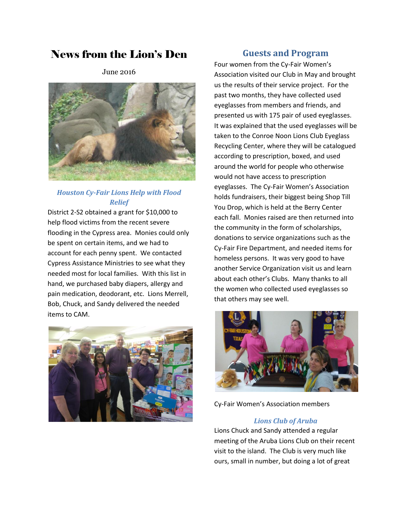# News from the Lion's Den

June 2016



## *Houston Cy-Fair Lions Help with Flood Relief*

District 2-S2 obtained a grant for \$10,000 to help flood victims from the recent severe flooding in the Cypress area. Monies could only be spent on certain items, and we had to account for each penny spent. We contacted Cypress Assistance Ministries to see what they needed most for local families. With this list in hand, we purchased baby diapers, allergy and pain medication, deodorant, etc. Lions Merrell, Bob, Chuck, and Sandy delivered the needed items to CAM.



## **Guests and Program**

Four women from the Cy-Fair Women's Association visited our Club in May and brought us the results of their service project. For the past two months, they have collected used eyeglasses from members and friends, and presented us with 175 pair of used eyeglasses. It was explained that the used eyeglasses will be taken to the Conroe Noon Lions Club Eyeglass Recycling Center, where they will be catalogued according to prescription, boxed, and used around the world for people who otherwise would not have access to prescription eyeglasses. The Cy-Fair Women's Association holds fundraisers, their biggest being Shop Till You Drop, which is held at the Berry Center each fall. Monies raised are then returned into the community in the form of scholarships, donations to service organizations such as the Cy-Fair Fire Department, and needed items for homeless persons. It was very good to have another Service Organization visit us and learn about each other's Clubs. Many thanks to all the women who collected used eyeglasses so that others may see well.



Cy-Fair Women's Association members

#### *Lions Club of Aruba*

Lions Chuck and Sandy attended a regular meeting of the Aruba Lions Club on their recent visit to the island. The Club is very much like ours, small in number, but doing a lot of great